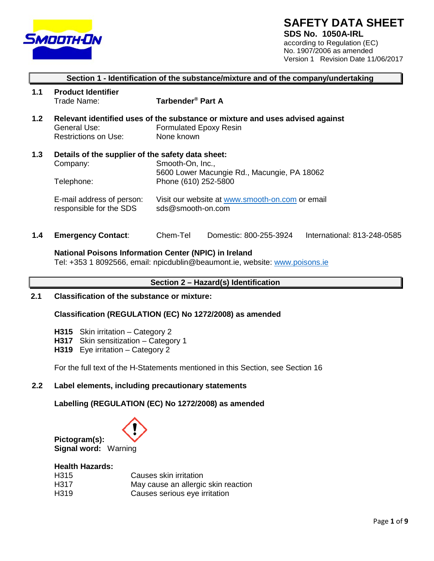

# **SAFETY DATA SHEET**

**SDS No. 1050A-IRL** according to Regulation (EC) No. 1907/2006 as amended Version 1 Revision Date 11/06/2017

# **Section 1 - Identification of the substance/mixture and of the company/undertaking**

- **1.1 Product Identifier Tarbender<sup>®</sup> Part A**
- **1.2 Relevant identified uses of the substance or mixture and uses advised against**  General Use: Formulated Epoxy Resin Restrictions on Use: None known
- **1.3 Details of the supplier of the safety data sheet:** Smooth-On, Inc., 5600 Lower Macungie Rd., Macungie, PA 18062 Telephone: Phone (610) 252-5800
	- E-mail address of person: Visit our website at [www.smooth-on.com](http://www.smooth-on.com/) or email<br>responsible for the SDS<br>sds@smooth-on.com responsible for the SDS
- **1.4 Emergency Contact**: Chem-Tel Domestic: 800-255-3924 International: 813-248-0585

#### **National Poisons Information Center (NPIC) in Ireland**

Tel: +353 1 8092566, email: [npicdublin@beaumont.ie, w](mailto:npicdublin@beaumont.ie)ebsite: [www.poisons.ie](http://www.poisons.ie/)

# **Section 2 – Hazard(s) Identification**

**2.1 Classification of the substance or mixture:**

**Classification (REGULATION (EC) No 1272/2008) as amended**

- **H315** Skin irritation Category 2
- **H317** Skin sensitization Category 1
- **H319** Eye irritation Category 2

For the full text of the H-Statements mentioned in this Section, see Section 16

## **2.2 Label elements, including precautionary statements**

**Labelling (REGULATION (EC) No 1272/2008) as amended**



#### **Health Hazards:**

| H315 | Causes skin irritation              |
|------|-------------------------------------|
| H317 | May cause an allergic skin reaction |
| H319 | Causes serious eye irritation       |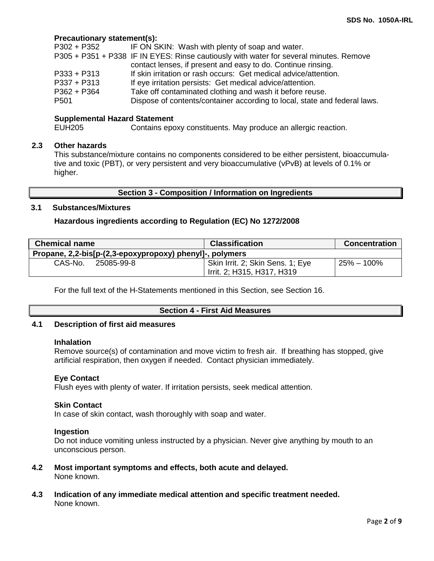## **Precautionary statement(s):**

| P302 + P352      | IF ON SKIN: Wash with plenty of soap and water.                                        |
|------------------|----------------------------------------------------------------------------------------|
|                  | P305 + P351 + P338 IF IN EYES: Rinse cautiously with water for several minutes. Remove |
|                  | contact lenses, if present and easy to do. Continue rinsing.                           |
| $P333 + P313$    | If skin irritation or rash occurs: Get medical advice/attention.                       |
| $P337 + P313$    | If eye irritation persists: Get medical advice/attention.                              |
| $P362 + P364$    | Take off contaminated clothing and wash it before reuse.                               |
| P <sub>501</sub> | Dispose of contents/container according to local, state and federal laws.              |

# **Supplemental Hazard Statement**<br>FUH205 Contains epc

Contains epoxy constituents. May produce an allergic reaction.

## **2.3 Other hazards**

This substance/mixture contains no components considered to be either persistent, bioaccumulative and toxic (PBT), or very persistent and very bioaccumulative (vPvB) at levels of 0.1% or higher.

#### **Section 3 - Composition / Information on Ingredients**

## **3.1 Substances/Mixtures**

#### **Hazardous ingredients according to Regulation (EC) No 1272/2008**

| <b>Chemical name</b>                                     | <b>Classification</b>                                          | <b>Concentration</b> |
|----------------------------------------------------------|----------------------------------------------------------------|----------------------|
| Propane, 2,2-bis[p-(2,3-epoxypropoxy) phenyl]-, polymers |                                                                |                      |
| CAS-No.<br>25085-99-8                                    | Skin Irrit. 2; Skin Sens. 1; Eye<br>Irrit. 2; H315, H317, H319 | $25\% - 100\%$       |

For the full text of the H-Statements mentioned in this Section, see Section 16.

#### **Section 4 - First Aid Measures**

## **4.1 Description of first aid measures**

#### **Inhalation**

Remove source(s) of contamination and move victim to fresh air. If breathing has stopped, give artificial respiration, then oxygen if needed. Contact physician immediately.

## **Eye Contact**

Flush eyes with plenty of water. If irritation persists, seek medical attention.

#### **Skin Contact**

In case of skin contact, wash thoroughly with soap and water.

#### **Ingestion**

Do not induce vomiting unless instructed by a physician. Never give anything by mouth to an unconscious person.

- **4.2 Most important symptoms and effects, both acute and delayed.** None known.
- **4.3 Indication of any immediate medical attention and specific treatment needed.** None known.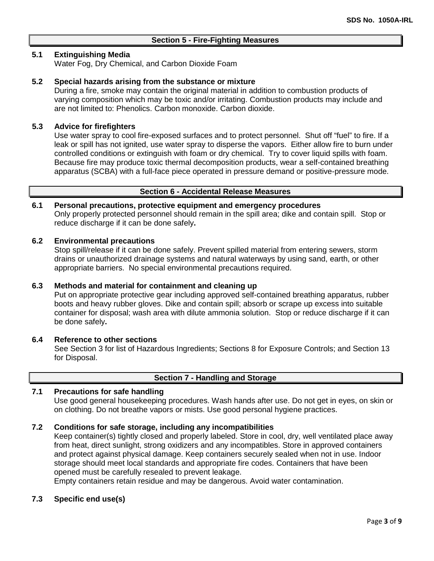## **Section 5 - Fire-Fighting Measures**

## **5.1 Extinguishing Media**

Water Fog, Dry Chemical, and Carbon Dioxide Foam

## **5.2 Special hazards arising from the substance or mixture**

During a fire, smoke may contain the original material in addition to combustion products of varying composition which may be toxic and/or irritating. Combustion products may include and are not limited to: Phenolics. Carbon monoxide. Carbon dioxide.

## **5.3 Advice for firefighters**

Use water spray to cool fire-exposed surfaces and to protect personnel. Shut off "fuel" to fire. If a leak or spill has not ignited, use water spray to disperse the vapors. Either allow fire to burn under controlled conditions or extinguish with foam or dry chemical. Try to cover liquid spills with foam. Because fire may produce toxic thermal decomposition products, wear a self-contained breathing apparatus (SCBA) with a full-face piece operated in pressure demand or positive-pressure mode.

## **Section 6 - Accidental Release Measures**

## **6.1 Personal precautions, protective equipment and emergency procedures**

Only properly protected personnel should remain in the spill area; dike and contain spill. Stop or reduce discharge if it can be done safely**.**

## **6.2 Environmental precautions**

Stop spill/release if it can be done safely. Prevent spilled material from entering sewers, storm drains or unauthorized drainage systems and natural waterways by using sand, earth, or other appropriate barriers.No special environmental precautions required.

## **6.3 Methods and material for containment and cleaning up**

Put on appropriate protective gear including approved self-contained breathing apparatus, rubber boots and heavy rubber gloves. Dike and contain spill; absorb or scrape up excess into suitable container for disposal; wash area with dilute ammonia solution. Stop or reduce discharge if it can be done safely**.**

## **6.4 Reference to other sections**

See Section 3 for list of Hazardous Ingredients; Sections 8 for Exposure Controls; and Section 13 for Disposal.

## **Section 7 - Handling and Storage**

## **7.1 Precautions for safe handling**

Use good general housekeeping procedures. Wash hands after use. Do not get in eyes, on skin or on clothing. Do not breathe vapors or mists. Use good personal hygiene practices.

## **7.2 Conditions for safe storage, including any incompatibilities**

Keep container(s) tightly closed and properly labeled. Store in cool, dry, well ventilated place away from heat, direct sunlight, strong oxidizers and any incompatibles. Store in approved containers and protect against physical damage. Keep containers securely sealed when not in use. Indoor storage should meet local standards and appropriate fire codes. Containers that have been opened must be carefully resealed to prevent leakage.

Empty containers retain residue and may be dangerous. Avoid water contamination.

## **7.3 Specific end use(s)**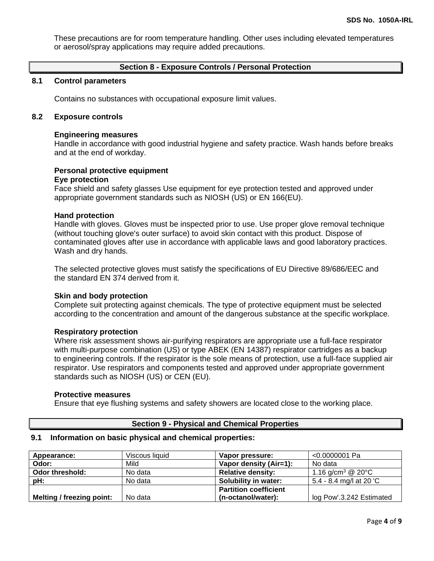These precautions are for room temperature handling. Other uses including elevated temperatures or aerosol/spray applications may require added precautions.

## **Section 8 - Exposure Controls / Personal Protection**

## **8.1 Control parameters**

Contains no substances with occupational exposure limit values.

## **8.2 Exposure controls**

#### **Engineering measures**

Handle in accordance with good industrial hygiene and safety practice. Wash hands before breaks and at the end of workday.

## **Personal protective equipment**

#### **Eye protection**

Face shield and safety glasses Use equipment for eye protection tested and approved under appropriate government standards such as NIOSH (US) or EN 166(EU).

#### **Hand protection**

Handle with gloves. Gloves must be inspected prior to use. Use proper glove removal technique (without touching glove's outer surface) to avoid skin contact with this product. Dispose of contaminated gloves after use in accordance with applicable laws and good laboratory practices. Wash and dry hands.

The selected protective gloves must satisfy the specifications of EU Directive 89/686/EEC and the standard EN 374 derived from it.

## **Skin and body protection**

Complete suit protecting against chemicals. The type of protective equipment must be selected according to the concentration and amount of the dangerous substance at the specific workplace.

## **Respiratory protection**

Where risk assessment shows air-purifying respirators are appropriate use a full-face respirator with multi-purpose combination (US) or type ABEK (EN 14387) respirator cartridges as a backup to engineering controls. If the respirator is the sole means of protection, use a full-face supplied air respirator. Use respirators and components tested and approved under appropriate government standards such as NIOSH (US) or CEN (EU).

#### **Protective measures**

Ensure that eye flushing systems and safety showers are located close to the working place.

## **Section 9 - Physical and Chemical Properties**

#### **9.1 Information on basic physical and chemical properties:**

| Appearance:                      | Viscous liquid | Vapor pressure:              | <0.0000001 Pa                            |
|----------------------------------|----------------|------------------------------|------------------------------------------|
| Odor:                            | Mild           | Vapor density (Air=1):       | No data                                  |
| Odor threshold:                  | No data        | <b>Relative density:</b>     | 1.16 g/cm <sup>3</sup> @ 20 $^{\circ}$ C |
| pH:                              | No data        | Solubility in water:         | 5.4 - 8.4 mg/l at 20 'C                  |
|                                  |                | <b>Partition coefficient</b> |                                          |
| <b>Melting / freezing point:</b> | No data        | (n-octanol/water):           | log Pow'.3.242 Estimated                 |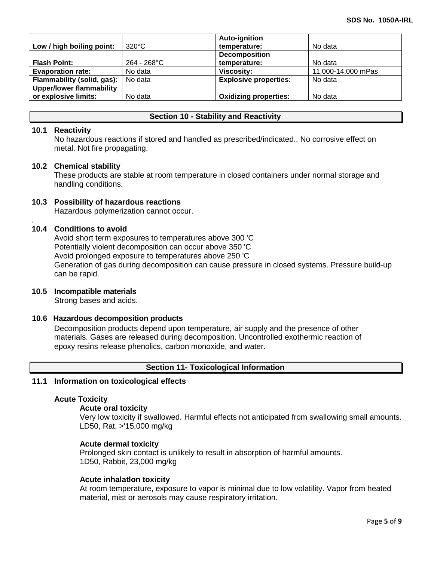|                                 |                 | <b>Auto-ignition</b>         |                    |
|---------------------------------|-----------------|------------------------------|--------------------|
| Low / high boiling point:       | $320^{\circ}$ C | temperature:                 | No data            |
|                                 |                 | <b>Decomposition</b>         |                    |
| <b>Flash Point:</b>             | $264 - 268$ °C  | temperature:                 | No data            |
| <b>Evaporation rate:</b>        | No data         | <b>Viscosity:</b>            | 11,000-14,000 mPas |
| Flammability (solid, gas):      | No data         | <b>Explosive properties:</b> | No data            |
| <b>Upper/lower flammability</b> |                 |                              |                    |
| or explosive limits:            | No data         | <b>Oxidizing properties:</b> | No data            |

## **Section 10 - Stability and Reactivity**

## **10.1 Reactivity**

No hazardous reactions if stored and handled as prescribed/indicated., No corrosive effect on metal. Not fire propagating.

#### **10.2 Chemical stability**

These products are stable at room temperature in closed containers under normal storage and handling conditions.

## **10.3 Possibility of hazardous reactions**

Hazardous polymerization cannot occur.

#### . **10.4 Conditions to avoid**

Avoid short term exposures to temperatures above 300 'C Potentially violent decomposition can occur above 350 'C Avoid prolonged exposure to temperatures above 250 'C Generation of gas during decomposition can cause pressure in closed systems. Pressure build-up can be rapid.

#### **10.5 Incompatible materials**

Strong bases and acids.

#### **10.6 Hazardous decomposition products**

Decomposition products depend upon temperature, air supply and the presence of other materials. Gases are released during decomposition. Uncontrolled exothermic reaction of epoxy resins release phenolics, carbon monoxide, and water.

## **Section 11- Toxicological Information**

#### **11.1 Information on toxicological effects**

#### **Acute Toxicity**

#### **Acute oral toxicity**

Very low toxicity if swallowed. Harmful effects not anticipated from swallowing small amounts. LD50, Rat, >'15,000 mg/kg

#### **Acute dermal toxicity**

Prolonged skin contact is unlikely to result in absorption of harmful amounts. 1D50, Rabbit, 23,000 mg/kg

#### **Acute inhalatlon toxicity**

At room temperature, exposure to vapor is minimal due to low volatility. Vapor from heated material, mist or aerosols may cause respiratory irritation.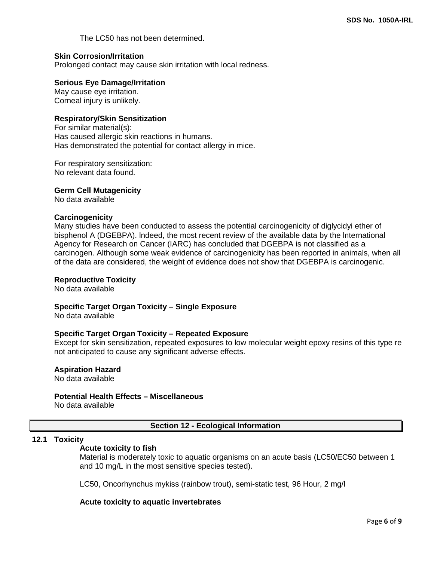The LC50 has not been determined.

## **Skin Corrosion/Irritation**

Prolonged contact may cause skin irritation with local redness.

#### **Serious Eye Damage/Irritation**

May cause eye irritation. Corneal injury is unlikely.

#### **Respiratory/Skin Sensitization**

For similar material(s): Has caused allergic skin reactions in humans. Has demonstrated the potential for contact allergy in mice.

For respiratory sensitization: No relevant data found.

#### **Germ Cell Mutagenicity**

No data available

#### **Carcinogenicity**

Many studies have been conducted to assess the potential carcinogenicity of diglycidyi ether of bisphenol A (DGEBPA). lndeed, the most recent review of the available data by the lnternational Agency for Research on Cancer (IARC) has concluded that DGEBPA is not classified as a carcinogen. Although some weak evidence of carcinogenicity has been reported in animals, when all of the data are considered, the weight of evidence does not show that DGEBPA is carcinogenic.

#### **Reproductive Toxicity**

No data available

#### **Specific Target Organ Toxicity – Single Exposure**

No data available

#### **Specific Target Organ Toxicity – Repeated Exposure**

Except for skin sensitization, repeated exposures to low molecular weight epoxy resins of this type re not anticipated to cause any significant adverse effects.

## **Aspiration Hazard**

No data available

#### **Potential Health Effects – Miscellaneous**

No data available

#### **Section 12 - Ecological Information**

#### **12.1 Toxicity**

#### **Acute toxicity to fish**

Material is moderately toxic to aquatic organisms on an acute basis (LC50/EC50 between 1 and 10 mg/L in the most sensitive species tested).

LC50, Oncorhynchus mykiss (rainbow trout), semi-static test, 96 Hour, 2 mg/l

#### **Acute toxicity to aquatic invertebrates**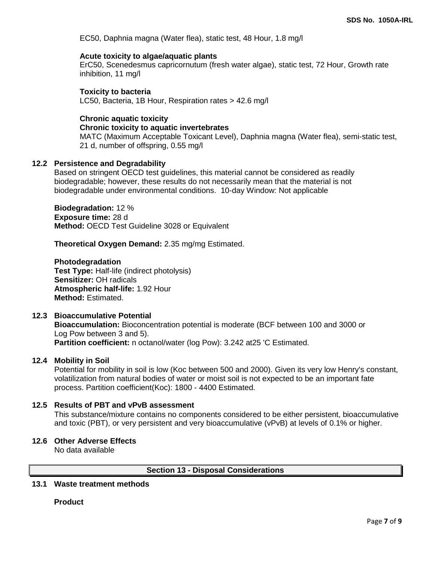EC50, Daphnia magna (Water flea), static test, 48 Hour, 1.8 mg/l

## **Acute toxicity to algae/aquatic plants**

ErC50, Scenedesmus capricornutum (fresh water algae), static test, 72 Hour, Growth rate inhibition, 11 mg/l

## **Toxicity to bacteria**

LC50, Bacteria, 1B Hour, Respiration rates > 42.6 mg/l

## **Chronic aquatic toxicity**

## **Chronic toxicity to aquatic invertebrates**

MATC (Maximum Acceptable Toxicant Level), Daphnia magna (Water flea), semi-static test, 21 d, number of offspring, 0.55 mg/l

## **12.2 Persistence and Degradability**

Based on stringent OECD test guidelines, this material cannot be considered as readily biodegradable; however, these results do not necessarily mean that the material is not biodegradable under environmental conditions. 10-day Window: Not applicable

**Biodegradation:** 12 % **Exposure time:** 28 d **Method:** OECD Test Guideline 3028 or Equivalent

**Theoretical Oxygen Demand:** 2.35 mg/mg Estimated.

**Photodegradation Test Type:** Half-life (indirect photolysis) **Sensitizer:** OH radicals **Atmospheric half-life:** 1.92 Hour **Method:** Estimated.

## **12.3 Bioaccumulative Potential**

**Bioaccumulation:** Bioconcentration potential is moderate (BCF between 100 and 3000 or Log Pow between 3 and 5). **Partition coefficient:** n octanol/water (log Pow): 3.242 at25 'C Estimated.

#### **12.4 Mobility in Soil**

Potential for mobility in soil is low (Koc between 500 and 2000). Given its very low Henry's constant, volatilization from natural bodies of water or moist soil is not expected to be an important fate process. Partition coefficient(Koc): 1800 - 4400 Estimated.

## **12.5 Results of PBT and vPvB assessment**

This substance/mixture contains no components considered to be either persistent, bioaccumulative and toxic (PBT), or very persistent and very bioaccumulative (vPvB) at levels of 0.1% or higher.

#### **12.6 Other Adverse Effects**

No data available

#### **Section 13 - Disposal Considerations**

# **13.1 Waste treatment methods**

**Product**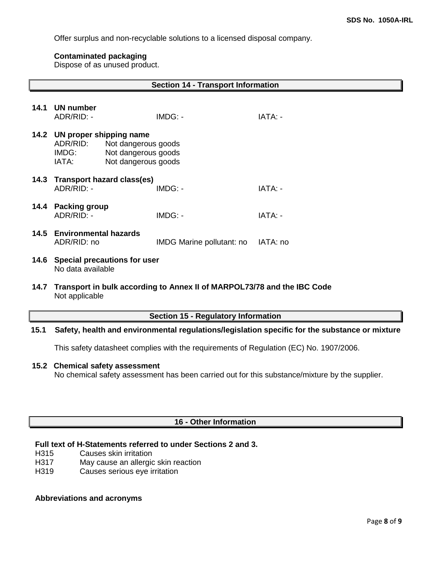Offer surplus and non-recyclable solutions to a licensed disposal company.

## **Contaminated packaging**

Dispose of as unused product.

|                                                           |                                           |                                                                                              | <b>Section 14 - Transport Information</b>                               |          |  |
|-----------------------------------------------------------|-------------------------------------------|----------------------------------------------------------------------------------------------|-------------------------------------------------------------------------|----------|--|
| 14.1                                                      | <b>UN number</b><br>ADR/RID: -            |                                                                                              | IMDG: -                                                                 | IATA: -  |  |
| 14.2                                                      | ADR/RID:<br>IMDG:<br>IATA:                | UN proper shipping name<br>Not dangerous goods<br>Not dangerous goods<br>Not dangerous goods |                                                                         |          |  |
| 14.3                                                      | ADR/RID: -                                | Transport hazard class(es)                                                                   | IMDG: -                                                                 | IATA: -  |  |
| 14.4                                                      | <b>Packing group</b><br>ADR/RID: -        |                                                                                              | IMDG: -                                                                 | IATA: -  |  |
|                                                           | 14.5 Environmental hazards<br>ADR/RID: no |                                                                                              | IMDG Marine pollutant: no                                               | IATA: no |  |
| 14.6<br>Special precautions for user<br>No data available |                                           |                                                                                              |                                                                         |          |  |
| 14.7                                                      | Not applicable                            |                                                                                              | Transport in bulk according to Annex II of MARPOL73/78 and the IBC Code |          |  |
|                                                           |                                           |                                                                                              | <b>Section 15 - Regulatory Information</b>                              |          |  |

# **15.1 Safety, health and environmental regulations/legislation specific for the substance or mixture**

This safety datasheet complies with the requirements of Regulation (EC) No. 1907/2006.

#### **15.2 Chemical safety assessment**

No chemical safety assessment has been carried out for this substance/mixture by the supplier.

## **16 - Other Information**

# **Full text of H-Statements referred to under Sections 2 and 3.**

- H315 Causes skin irritation
- H317 May cause an allergic skin reaction
- H319 Causes serious eye irritation

## **Abbreviations and acronyms**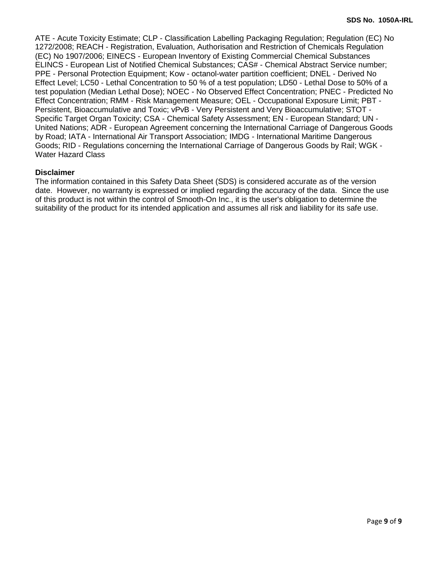ATE - Acute Toxicity Estimate; CLP - Classification Labelling Packaging Regulation; Regulation (EC) No 1272/2008; REACH - Registration, Evaluation, Authorisation and Restriction of Chemicals Regulation (EC) No 1907/2006; EINECS - European Inventory of Existing Commercial Chemical Substances ELINCS - European List of Notified Chemical Substances; CAS# - Chemical Abstract Service number; PPE - Personal Protection Equipment; Kow - octanol-water partition coefficient; DNEL - Derived No Effect Level; LC50 - Lethal Concentration to 50 % of a test population; LD50 - Lethal Dose to 50% of a test population (Median Lethal Dose); NOEC - No Observed Effect Concentration; PNEC - Predicted No Effect Concentration; RMM - Risk Management Measure; OEL - Occupational Exposure Limit; PBT - Persistent, Bioaccumulative and Toxic; vPvB - Very Persistent and Very Bioaccumulative; STOT - Specific Target Organ Toxicity; CSA - Chemical Safety Assessment; EN - European Standard; UN - United Nations; ADR - European Agreement concerning the International Carriage of Dangerous Goods by Road; IATA - International Air Transport Association; IMDG - International Maritime Dangerous Goods; RID - Regulations concerning the International Carriage of Dangerous Goods by Rail; WGK - Water Hazard Class

## **Disclaimer**

The information contained in this Safety Data Sheet (SDS) is considered accurate as of the version date. However, no warranty is expressed or implied regarding the accuracy of the data. Since the use of this product is not within the control of Smooth-On Inc., it is the user's obligation to determine the suitability of the product for its intended application and assumes all risk and liability for its safe use.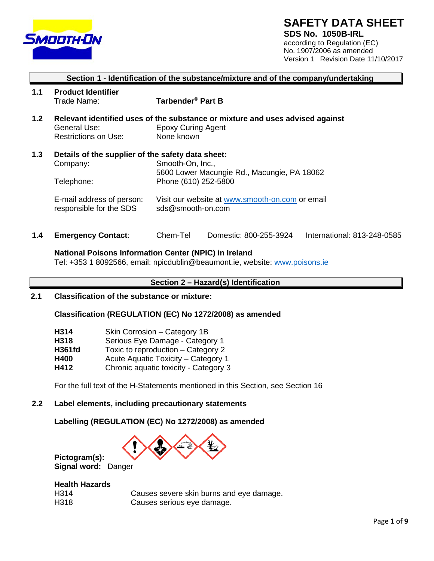

# **SAFETY DATA SHEET**

**SDS No. 1050B-IRL** according to Regulation (EC) No. 1907/2006 as amended Version 1 Revision Date 11/10/2017

# **Section 1 - Identification of the substance/mixture and of the company/undertaking**

- **1.1 Product Identifier Tarbender<sup>®</sup> Part B**
- **1.2 Relevant identified uses of the substance or mixture and uses advised against**  General Use: Epoxy Curing Agent Restrictions on Use: None known
- **1.3 Details of the supplier of the safety data sheet:** Smooth-On, Inc., 5600 Lower Macungie Rd., Macungie, PA 18062 Telephone: Phone (610) 252-5800
	- E-mail address of person: Visit our website at [www.smooth-on.com](http://www.smooth-on.com/) or email<br>responsible for the SDS<br>sds@smooth-on.com responsible for the SDS
- **1.4 Emergency Contact**: Chem-Tel Domestic: 800-255-3924 International: 813-248-0585

#### **National Poisons Information Center (NPIC) in Ireland**

Tel: +353 1 8092566, email: [npicdublin@beaumont.ie, w](mailto:npicdublin@beaumont.ie)ebsite: [www.poisons.ie](http://www.poisons.ie/)

# **Section 2 – Hazard(s) Identification**

**2.1 Classification of the substance or mixture:**

## **Classification (REGULATION (EC) No 1272/2008) as amended**

| H314          | Skin Corrosion - Category 1B          |
|---------------|---------------------------------------|
| H318          | Serious Eye Damage - Category 1       |
| <b>H361fd</b> | Toxic to reproduction – Category 2    |
| H400          | Acute Aquatic Toxicity - Category 1   |
| H412          | Chronic aquatic toxicity - Category 3 |

For the full text of the H-Statements mentioned in this Section, see Section 16

## **2.2 Label elements, including precautionary statements**

#### **Labelling (REGULATION (EC) No 1272/2008) as amended**



**Pictogram(s): Signal word:** Danger

## **Health Hazards**

| H314 | Causes severe skin burns and eye damage. |
|------|------------------------------------------|
| H318 | Causes serious eye damage.               |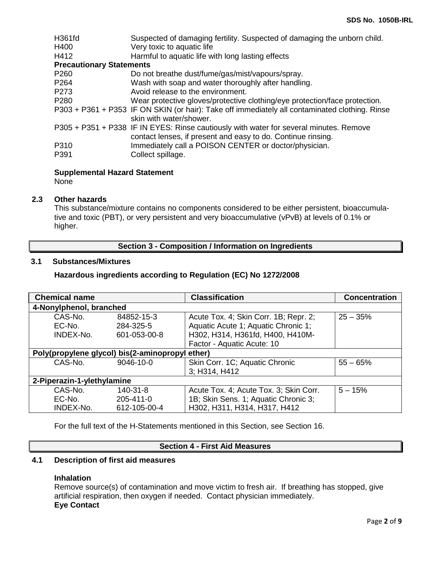| H361fd                          | Suspected of damaging fertility. Suspected of damaging the unborn child.                                                                               |
|---------------------------------|--------------------------------------------------------------------------------------------------------------------------------------------------------|
| H400                            | Very toxic to aquatic life                                                                                                                             |
| H412                            | Harmful to aquatic life with long lasting effects                                                                                                      |
| <b>Precautionary Statements</b> |                                                                                                                                                        |
| P <sub>260</sub>                | Do not breathe dust/fume/gas/mist/vapours/spray.                                                                                                       |
| P <sub>264</sub>                | Wash with soap and water thoroughly after handling.                                                                                                    |
| P <sub>273</sub>                | Avoid release to the environment.                                                                                                                      |
| P <sub>280</sub>                | Wear protective gloves/protective clothing/eye protection/face protection.                                                                             |
|                                 | P303 + P361 + P353 IF ON SKIN (or hair): Take off immediately all contaminated clothing. Rinse<br>skin with water/shower.                              |
|                                 | P305 + P351 + P338 IF IN EYES: Rinse cautiously with water for several minutes. Remove<br>contact lenses, if present and easy to do. Continue rinsing. |
| P310                            | Immediately call a POISON CENTER or doctor/physician.                                                                                                  |
| P391                            | Collect spillage.                                                                                                                                      |

## **Supplemental Hazard Statement**

None

## **2.3 Other hazards**

This substance/mixture contains no components considered to be either persistent, bioaccumulative and toxic (PBT), or very persistent and very bioaccumulative (vPvB) at levels of 0.1% or higher.

## **Section 3 - Composition / Information on Ingredients**

# **3.1 Substances/Mixtures**

## **Hazardous ingredients according to Regulation (EC) No 1272/2008**

| <b>Chemical name</b>       |                                                 | <b>Classification</b>                  | <b>Concentration</b> |
|----------------------------|-------------------------------------------------|----------------------------------------|----------------------|
| 4-Nonylphenol, branched    |                                                 |                                        |                      |
| CAS-No.                    | 84852-15-3                                      | Acute Tox. 4; Skin Corr. 1B; Repr. 2;  | $25 - 35%$           |
| EC-No.                     | 284-325-5                                       | Aquatic Acute 1; Aquatic Chronic 1;    |                      |
| INDEX-No.                  | 601-053-00-8                                    | H302, H314, H361fd, H400, H410M-       |                      |
|                            |                                                 | Factor - Aquatic Acute: 10             |                      |
|                            | Poly(propylene glycol) bis(2-aminopropyl ether) |                                        |                      |
| CAS-No.                    | 9046-10-0                                       | Skin Corr. 1C; Aquatic Chronic         | $55 - 65%$           |
|                            |                                                 | 3; H314, H412                          |                      |
| 2-Piperazin-1-ylethylamine |                                                 |                                        |                      |
| CAS-No.                    | 140-31-8                                        | Acute Tox. 4; Acute Tox. 3; Skin Corr. | $5 - 15%$            |
| EC-No.                     | 205-411-0                                       | 1B; Skin Sens. 1; Aquatic Chronic 3;   |                      |
| INDEX-No.                  | 612-105-00-4                                    | H302, H311, H314, H317, H412           |                      |

For the full text of the H-Statements mentioned in this Section, see Section 16.

# **Section 4 - First Aid Measures**

## **4.1 Description of first aid measures**

## **Inhalation**

Remove source(s) of contamination and move victim to fresh air. If breathing has stopped, give artificial respiration, then oxygen if needed. Contact physician immediately. **Eye Contact**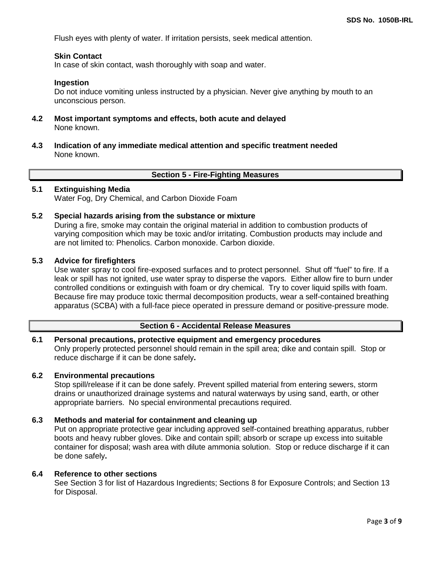Flush eyes with plenty of water. If irritation persists, seek medical attention.

## **Skin Contact**

In case of skin contact, wash thoroughly with soap and water.

#### **Ingestion**

Do not induce vomiting unless instructed by a physician. Never give anything by mouth to an unconscious person.

- **4.2 Most important symptoms and effects, both acute and delayed** None known.
- **4.3 Indication of any immediate medical attention and specific treatment needed** None known.

#### **Section 5 - Fire-Fighting Measures**

## **5.1 Extinguishing Media**

Water Fog, Dry Chemical, and Carbon Dioxide Foam

**5.2 Special hazards arising from the substance or mixture**

During a fire, smoke may contain the original material in addition to combustion products of varying composition which may be toxic and/or irritating. Combustion products may include and are not limited to: Phenolics. Carbon monoxide. Carbon dioxide.

## **5.3 Advice for firefighters**

Use water spray to cool fire-exposed surfaces and to protect personnel. Shut off "fuel" to fire. If a leak or spill has not ignited, use water spray to disperse the vapors. Either allow fire to burn under controlled conditions or extinguish with foam or dry chemical. Try to cover liquid spills with foam. Because fire may produce toxic thermal decomposition products, wear a self-contained breathing apparatus (SCBA) with a full-face piece operated in pressure demand or positive-pressure mode.

## **Section 6 - Accidental Release Measures**

## **6.1 Personal precautions, protective equipment and emergency procedures** Only properly protected personnel should remain in the spill area; dike and contain spill. Stop or reduce discharge if it can be done safely**.**

## **6.2 Environmental precautions**

Stop spill/release if it can be done safely. Prevent spilled material from entering sewers, storm drains or unauthorized drainage systems and natural waterways by using sand, earth, or other appropriate barriers.No special environmental precautions required.

## **6.3 Methods and material for containment and cleaning up**

Put on appropriate protective gear including approved self-contained breathing apparatus, rubber boots and heavy rubber gloves. Dike and contain spill; absorb or scrape up excess into suitable container for disposal; wash area with dilute ammonia solution. Stop or reduce discharge if it can be done safely**.**

#### **6.4 Reference to other sections**

See Section 3 for list of Hazardous Ingredients; Sections 8 for Exposure Controls; and Section 13 for Disposal.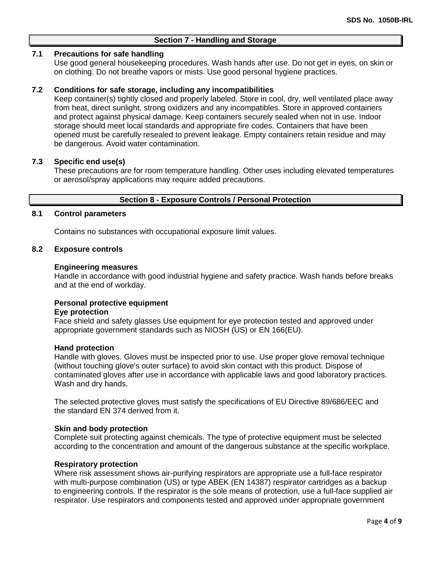# **Section 7 - Handling and Storage**

## **7.1 Precautions for safe handling**

Use good general housekeeping procedures. Wash hands after use. Do not get in eyes, on skin or on clothing. Do not breathe vapors or mists. Use good personal hygiene practices.

## **7.2 Conditions for safe storage, including any incompatibilities**

Keep container(s) tightly closed and properly labeled. Store in cool, dry, well ventilated place away from heat, direct sunlight, strong oxidizers and any incompatibles. Store in approved containers and protect against physical damage. Keep containers securely sealed when not in use. Indoor storage should meet local standards and appropriate fire codes. Containers that have been opened must be carefully resealed to prevent leakage. Empty containers retain residue and may be dangerous. Avoid water contamination.

## **7.3 Specific end use(s)**

These precautions are for room temperature handling. Other uses including elevated temperatures or aerosol/spray applications may require added precautions.

#### **Section 8 - Exposure Controls / Personal Protection**

#### **8.1 Control parameters**

Contains no substances with occupational exposure limit values.

## **8.2 Exposure controls**

#### **Engineering measures**

Handle in accordance with good industrial hygiene and safety practice. Wash hands before breaks and at the end of workday.

## **Personal protective equipment**

#### **Eye protection**

Face shield and safety glasses Use equipment for eye protection tested and approved under appropriate government standards such as NIOSH (US) or EN 166(EU).

#### **Hand protection**

Handle with gloves. Gloves must be inspected prior to use. Use proper glove removal technique (without touching glove's outer surface) to avoid skin contact with this product. Dispose of contaminated gloves after use in accordance with applicable laws and good laboratory practices. Wash and dry hands.

The selected protective gloves must satisfy the specifications of EU Directive 89/686/EEC and the standard EN 374 derived from it.

#### **Skin and body protection**

Complete suit protecting against chemicals. The type of protective equipment must be selected according to the concentration and amount of the dangerous substance at the specific workplace.

#### **Respiratory protection**

Where risk assessment shows air-purifying respirators are appropriate use a full-face respirator with multi-purpose combination (US) or type ABEK (EN 14387) respirator cartridges as a backup to engineering controls. If the respirator is the sole means of protection, use a full-face supplied air respirator. Use respirators and components tested and approved under appropriate government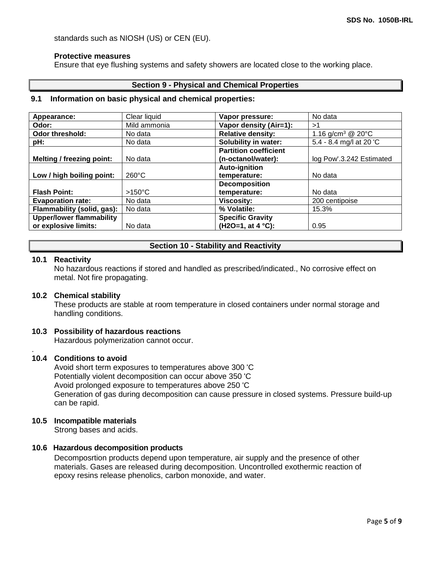standards such as NIOSH (US) or CEN (EU).

#### **Protective measures**

Ensure that eye flushing systems and safety showers are located close to the working place.

## **Section 9 - Physical and Chemical Properties**

#### **9.1 Information on basic physical and chemical properties:**

| Appearance:                      | Clear liquid     | Vapor pressure:              | No data                       |
|----------------------------------|------------------|------------------------------|-------------------------------|
| Odor:                            | Mild ammonia     | Vapor density (Air=1):       | >1                            |
| Odor threshold:                  | No data          | <b>Relative density:</b>     | 1.16 g/cm <sup>3</sup> @ 20°C |
| pH:                              | No data          | Solubility in water:         | 5.4 - 8.4 mg/l at 20 'C       |
|                                  |                  | <b>Partition coefficient</b> |                               |
| <b>Melting / freezing point:</b> | No data          | (n-octanol/water):           | log Pow'.3.242 Estimated      |
|                                  |                  | <b>Auto-ignition</b>         |                               |
| Low / high boiling point:        | $260^{\circ}$ C  | temperature:                 | No data                       |
|                                  |                  | <b>Decomposition</b>         |                               |
| <b>Flash Point:</b>              | $>150^{\circ}$ C | temperature:                 | No data                       |
| <b>Evaporation rate:</b>         | No data          | <b>Viscosity:</b>            | 200 centipoise                |
| Flammability (solid, gas):       | No data          | % Volatile:                  | 15.3%                         |
| <b>Upper/lower flammability</b>  |                  | <b>Specific Gravity</b>      |                               |
| or explosive limits:             | No data          | (H2O=1, at 4 °C):            | 0.95                          |

## **Section 10 - Stability and Reactivity**

#### **10.1 Reactivity**

No hazardous reactions if stored and handled as prescribed/indicated., No corrosive effect on metal. Not fire propagating.

#### **10.2 Chemical stability**

These products are stable at room temperature in closed containers under normal storage and handling conditions.

## **10.3 Possibility of hazardous reactions**

Hazardous polymerization cannot occur.

#### . **10.4 Conditions to avoid**

Avoid short term exposures to temperatures above 300 'C Potentially violent decomposition can occur above 350 'C Avoid prolonged exposure to temperatures above 250 'C Generation of gas during decomposition can cause pressure in closed systems. Pressure build-up can be rapid.

## **10.5 Incompatible materials**

Strong bases and acids.

## **10.6 Hazardous decomposition products**

Decomposrtion products depend upon temperature, air supply and the presence of other materials. Gases are released during decomposition. Uncontrolled exothermic reaction of epoxy resins release phenolics, carbon monoxide, and water.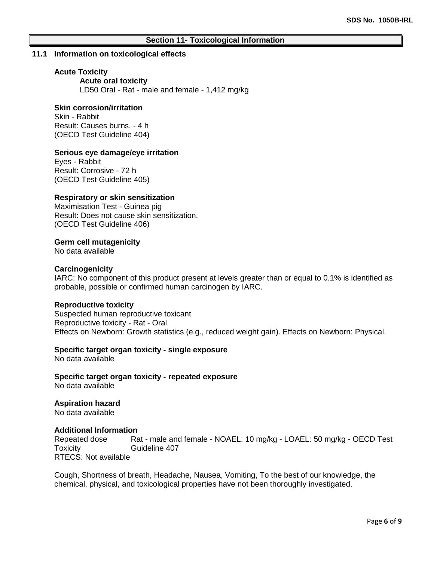## **Section 11- Toxicological Information**

#### **11.1 Information on toxicological effects**

#### **Acute Toxicity**

**Acute oral toxicity** LD50 Oral - Rat - male and female - 1,412 mg/kg

## **Skin corrosion/irritation**

Skin - Rabbit Result: Causes burns. - 4 h (OECD Test Guideline 404)

## **Serious eye damage/eye irritation**

Eyes - Rabbit Result: Corrosive - 72 h (OECD Test Guideline 405)

#### **Respiratory or skin sensitization**

Maximisation Test - Guinea pig Result: Does not cause skin sensitization. (OECD Test Guideline 406)

## **Germ cell mutagenicity**

No data available

#### **Carcinogenicity**

IARC: No component of this product present at levels greater than or equal to 0.1% is identified as probable, possible or confirmed human carcinogen by IARC.

#### **Reproductive toxicity**

Suspected human reproductive toxicant Reproductive toxicity - Rat - Oral Effects on Newborn: Growth statistics (e.g., reduced weight gain). Effects on Newborn: Physical.

## **Specific target organ toxicity - single exposure**

No data available

**Specific target organ toxicity - repeated exposure** No data available

**Aspiration hazard** No data available

#### **Additional Information**

Repeated dose Rat - male and female - NOAEL: 10 mg/kg - LOAEL: 50 mg/kg - OECD Test Toxicity Guideline 407 RTECS: Not available

Cough, Shortness of breath, Headache, Nausea, Vomiting, To the best of our knowledge, the chemical, physical, and toxicological properties have not been thoroughly investigated.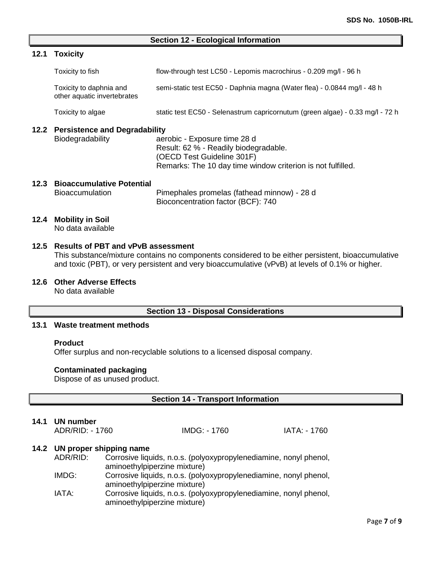#### **Section 12 - Ecological Information**

## **12.1 Toxicity**

| Toxicity to fish                                       | flow-through test LC50 - Lepomis macrochirus - 0.209 mg/l - 96 h        |
|--------------------------------------------------------|-------------------------------------------------------------------------|
| Toxicity to daphnia and<br>other aquatic invertebrates | semi-static test EC50 - Daphnia magna (Water flea) - 0.0844 mg/l - 48 h |

Toxicity to algae static test EC50 - Selenastrum capricornutum (green algae) - 0.33 mg/l - 72 h

# **12.2 Persistence and Degradability**

aerobic - Exposure time 28 d Result: 62 % - Readily biodegradable. (OECD Test Guideline 301F) Remarks: The 10 day time window criterion is not fulfilled.

## **12.3 Bioaccumulative Potential**

Bioaccumulation Pimephales promelas (fathead minnow) - 28 d Bioconcentration factor (BCF): 740

#### **12.4 Mobility in Soil**

No data available

## **12.5 Results of PBT and vPvB assessment**

This substance/mixture contains no components considered to be either persistent, bioaccumulative and toxic (PBT), or very persistent and very bioaccumulative (vPvB) at levels of 0.1% or higher.

## **12.6 Other Adverse Effects**

No data available

## **Section 13 - Disposal Considerations**

# **13.1 Waste treatment methods**

#### **Product**

Offer surplus and non-recyclable solutions to a licensed disposal company.

## **Contaminated packaging**

Dispose of as unused product.

## **Section 14 - Transport Information**

## **14.1 UN number**

ADR/RID: - 1760 IMDG: - 1760 IATA: - 1760

## **14.2 UN proper shipping name**

| ADR/RID: | Corrosive liquids, n.o.s. (polyoxypropylenediamine, nonyl phenol, |
|----------|-------------------------------------------------------------------|
|          | aminoethylpiperzine mixture)                                      |

- IMDG: Corrosive liquids, n.o.s. (polyoxypropylenediamine, nonyl phenol, aminoethylpiperzine mixture)
- IATA: Corrosive liquids, n.o.s. (polyoxypropylenediamine, nonyl phenol, aminoethylpiperzine mixture)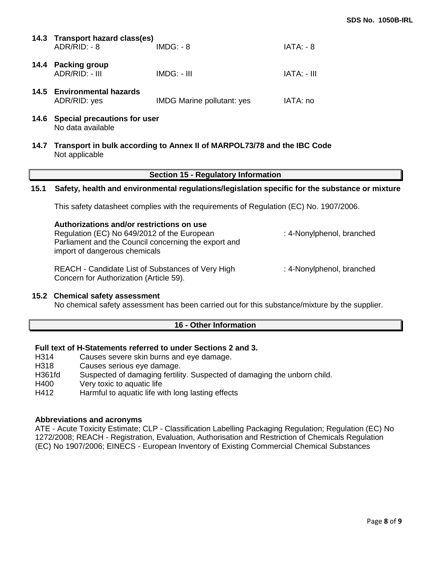| 14.3 Transport hazard class(es)<br>ADR/RID: - 8 | $IMDG: -8$                        | IATA: - 8   |
|-------------------------------------------------|-----------------------------------|-------------|
| 14.4 Packing group<br>ADR/RID: - III            | $IMDG: - III$                     | TATA: - III |
| 14.5 Environmental hazards<br>ADR/RID: yes      | <b>IMDG Marine pollutant: yes</b> | IATA: no    |

- **14.6 Special precautions for user** No data available
- **14.7 Transport in bulk according to Annex II of MARPOL73/78 and the IBC Code** Not applicable

## **Section 15 - Regulatory Information**

#### **15.1 Safety, health and environmental regulations/legislation specific for the substance or mixture**

This safety datasheet complies with the requirements of Regulation (EC) No. 1907/2006.

| Authorizations and/or restrictions on use<br>Regulation (EC) No 649/2012 of the European<br>Parliament and the Council concerning the export and<br>import of dangerous chemicals | : 4-Nonylphenol, branched |
|-----------------------------------------------------------------------------------------------------------------------------------------------------------------------------------|---------------------------|
| REACH - Candidate List of Substances of Very High<br>Concern for Authorization (Article 59).                                                                                      | : 4-Nonylphenol, branched |

#### **15.2 Chemical safety assessment**

No chemical safety assessment has been carried out for this substance/mixture by the supplier.

#### **16 - Other Information**

## **Full text of H-Statements referred to under Sections 2 and 3.**

- H314 Causes severe skin burns and eye damage.
- H318 Causes serious eye damage.
- H361fd Suspected of damaging fertility. Suspected of damaging the unborn child.
- H400 Very toxic to aquatic life
- H412 Harmful to aquatic life with long lasting effects

#### **Abbreviations and acronyms**

ATE - Acute Toxicity Estimate; CLP - Classification Labelling Packaging Regulation; Regulation (EC) No 1272/2008; REACH - Registration, Evaluation, Authorisation and Restriction of Chemicals Regulation (EC) No 1907/2006; EINECS - European Inventory of Existing Commercial Chemical Substances